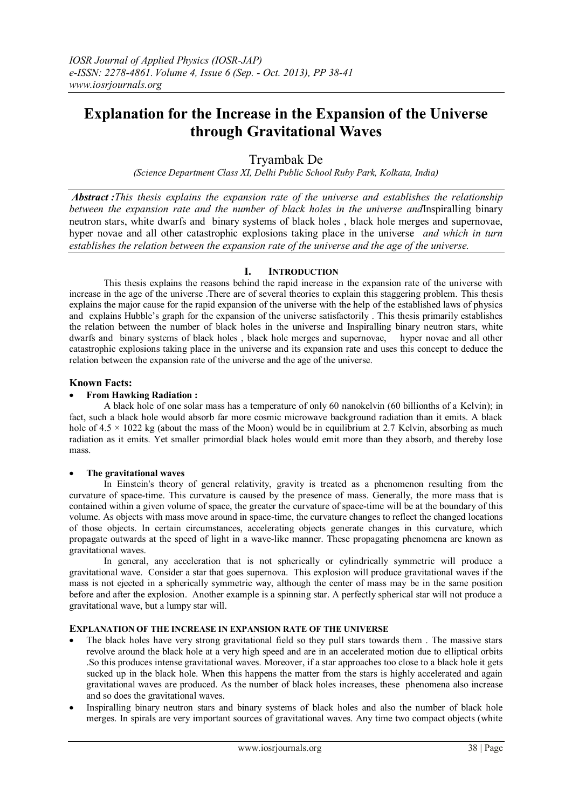# **Explanation for the Increase in the Expansion of the Universe through Gravitational Waves**

Tryambak De

*(Science Department Class XI, Delhi Public School Ruby Park, Kolkata, India)*

*Abstract :This thesis explains the expansion rate of the universe and establishes the relationship between the expansion rate and the number of black holes in the universe and*Inspiralling [binary](/wiki/Neutron_star)  [neutron stars,](/wiki/Neutron_star) white dwarfs and binary systems of black holes , black hole merges and supernovae, hyper novae and all other catastrophic explosions taking place in the universe *and which in turn establishes the relation between the expansion rate of the universe and the age of the universe.*

# **I. INTRODUCTION**

This thesis explains the reasons behind the rapid increase in the expansion rate of the universe with increase in the age of the universe .There are of several theories to explain this staggering problem. This thesis explains the major cause for the rapid expansion of the universe with the help of the established laws of physics and explains Hubble's graph for the expansion of the universe satisfactorily . This thesis primarily establishes the relation between the number of black holes in the universe and Inspiralling [binary neutron stars,](/wiki/Neutron_star) white dwarfs and binary systems of black holes , black hole merges and supernovae, hyper novae and all other catastrophic explosions taking place in the universe and its expansion rate and uses this concept to deduce the relation between the expansion rate of the universe and the age of the universe.

# **Known Facts:**

## **From Hawking Radiation :**

A black hole of one solar mass has a temperature of only 60 nanokelvin (60 billionths of a Kelvin); in fact, such a black hole would absorb far more cosmic microwave background radiation than it emits. A black hole of  $4.5 \times 1022$  kg (about the mass of the Moon) would be in equilibrium at 2.7 Kelvin, absorbing as much radiation as it emits. Yet smaller primordial black holes would emit more than they absorb, and thereby lose mass.

#### **The gravitational waves**

In Einstein's theory of [general relativity,](/wiki/General_relativity) [gravity](/wiki/Gravity) is treated as a phenomenon resulting from the curvature of [space-time.](/wiki/Spacetime) This curvature is caused by the presence of [mass.](/wiki/Mass_in_general_relativity) Generally, the more mass that is contained within a given volume of space, the greater the curvature of space-time will be at the boundary of this volume. As objects with mass move around in space-time, the curvature changes to reflect the changed locations of those objects. In [certain circumstances,](/wiki/Gravitational_wave) accelerating objects generate changes in this curvature, which propagate outwards at the [speed of light](/wiki/Speed_of_light) in a wave-like manner. These propagating phenomena are known as gravitational waves.

In general, any acceleration that is not spherically or cylindrically symmetric will produce a gravitational wave. Consider a star that goes supernova. This explosion will produce gravitational waves if the mass is not ejected in a spherically symmetric way, although the center of mass may be in the same position before and after the explosion. Another example is a spinning star. A perfectly spherical star will not produce a gravitational wave, but a lumpy star will.

#### **EXPLANATION OF THE INCREASE IN EXPANSION RATE OF THE UNIVERSE**

- The black holes have very strong gravitational field so they pull stars towards them . The massive stars revolve around the black hole at a very high speed and are in an accelerated motion due to elliptical orbits .So this produces intense gravitational waves. Moreover, if a star approaches too close to a black hole it gets sucked up in the black hole. When this happens the matter from the stars is highly accelerated and again gravitational waves are produced. As the number of black holes increases, these phenomena also increase and so does the gravitational waves.
- Inspiralling [binary neutron stars](/wiki/Neutron_star) and binary systems of black holes and also the number of black hole merges. In spirals are very important sources of gravitational waves. Any time two compact objects (white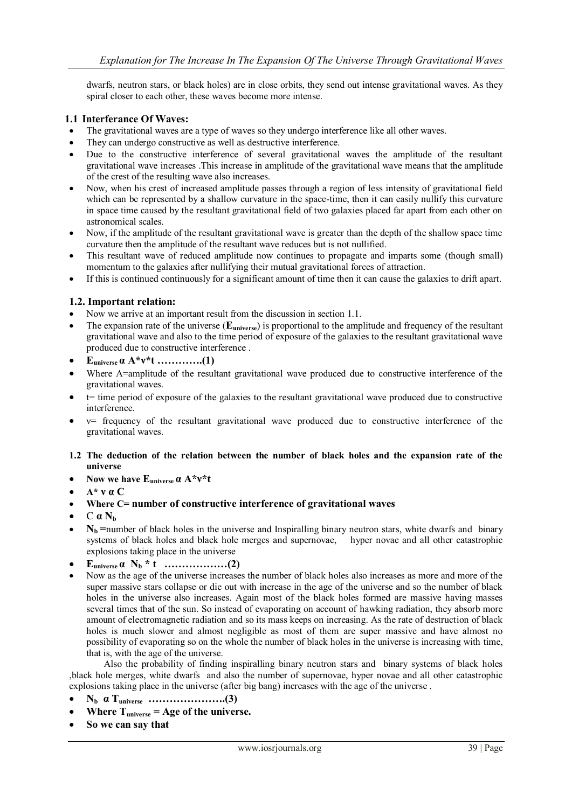dwarfs, neutron stars, or [black holes\)](http://en.wikipedia.org/wiki/Binary_black_hole) are in close orbits, they send out intense gravitational waves. As they spiral closer to each other, these waves become more intense.

## **1.1 Interferance Of Waves:**

- The gravitational waves are a type of waves so they undergo interference like all other waves.
- They can undergo constructive as well as destructive interference.
- Due to the constructive interference of several gravitational waves the amplitude of the resultant gravitational wave increases .This increase in amplitude of the gravitational wave means that the amplitude of the crest of the resulting wave also increases.
- Now, when his crest of increased amplitude passes through a region of less intensity of gravitational field which can be represented by a shallow curvature in the space-time, then it can easily nullify this curvature in space time caused by the resultant gravitational field of two galaxies placed far apart from each other on astronomical scales.
- Now, if the amplitude of the resultant gravitational wave is greater than the depth of the shallow space time curvature then the amplitude of the resultant wave reduces but is not nullified.
- This resultant wave of reduced amplitude now continues to propagate and imparts some (though small) momentum to the galaxies after nullifying their mutual gravitational forces of attraction.
- If this is continued continuously for a significant amount of time then it can cause the galaxies to drift apart.

# **1.2. Important relation:**

- Now we arrive at an important result from the discussion in section 1.1.
- The expansion rate of the universe (**Euniverse**) is proportional to the amplitude and frequency of the resultant gravitational wave and also to the time period of exposure of the galaxies to the resultant gravitational wave produced due to constructive interference .
- **Euniverse α A\*ν\*t ………….(1)**
- Where A=amplitude of the resultant gravitational wave produced due to constructive interference of the gravitational waves.
- t= time period of exposure of the galaxies to the resultant gravitational wave produced due to constructive interference.
- ν= frequency of the resultant gravitational wave produced due to constructive interference of the gravitational waves.

#### **1.2 The deduction of the relation between the number of black holes and the expansion rate of the universe**

- **Now we have Euniverse α A\*ν\*t**
- **A\* ν α C**
- **Where C= number of constructive interference of gravitational waves**
- $C \alpha N_b$
- **Nb =**number of black holes in the universe and Inspiralling [binary neutron stars,](/wiki/Neutron_star) white dwarfs and binary systems of black holes and black hole merges and supernovae, hyper novae and all other catastrophic explosions taking place in the universe
- **Euniverse α N<sup>b</sup> \* t ………………(2)**
- Now as the age of the universe increases the number of black holes also increases as more and more of the super massive stars collapse or die out with increase in the age of the universe and so the number of black holes in the universe also increases. Again most of the black holes formed are massive having masses several times that of the sun. So instead of evaporating on account of hawking radiation, they absorb more amount of electromagnetic radiation and so its mass keeps on increasing. As the rate of destruction of black holes is much slower and almost negligible as most of them are super massive and have almost no possibility of evaporating so on the whole the number of black holes in the universe is increasing with time, that is, with the age of the universe.

Also the probability of finding inspiralling [binary neutron stars](/wiki/Neutron_star) and binary systems of black holes ,black hole merges, white dwarfs and also the number of supernovae, hyper novae and all other catastrophic explosions taking place in the universe (after big bang) increases with the age of the universe .

- **N<sup>b</sup> α Tuniverse ………………….(3)**
- **Where Tuniverse = Age of the universe.**
- **So we can say that**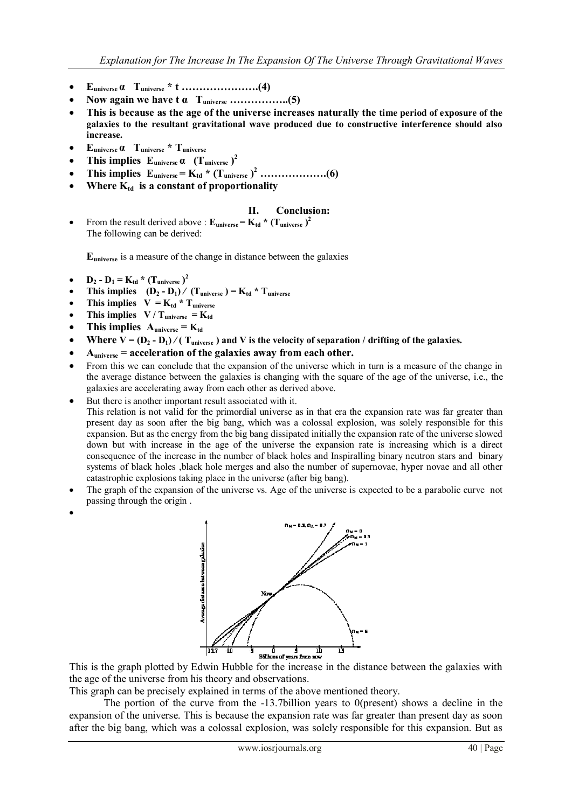- **Euniverse α Tuniverse \* t ………………….(4)**
- **Now again we have t α Tuniverse ……………..(5)**
- **This is because as the age of the universe increases naturally the time period of exposure of the galaxies to the resultant gravitational wave produced due to constructive interference should also increase.**
- **Euniverse α Tuniverse \* Tuniverse**
- $\bullet$  This implies  $\text{E}_{\text{universe}} \alpha$  (T<sub>universe</sub>)<sup>2</sup>
- **This implies Euniverse = Ktd \* (Tuniverse ) <sup>2</sup> ……………….(6)**
- Where  $K_{td}$  is a constant of proportionality

# **II. Conclusion:**

From the result derived above :  $\mathbf{E}_{\text{universe}} = \mathbf{K}_{\text{td}} \cdot (\mathbf{T}_{\text{universe}})^2$ The following can be derived:

**Euniverse** is a measure of the change in distance between the galaxies

- $D_2 D_1 = K_{td} * (T_{universe})^2$
- **•** This implies  $(D_2 D_1) / (T_{universe}) = K_{td} * T_{universe}$
- **This implies**  $V = K_{td} * T_{universe}$
- **This implies**  $V / T_{universe} = K_{td}$
- This implies  $A_{universe} = K_{td}$
- **Where V** =  $(D_2 D_1)$  */*  $(T_{\text{universe}})$  and **V** is the velocity of separation */* drifting of the galaxies.
- **Auniverse = acceleration of the galaxies away from each other.**
- From this we can conclude that the expansion of the universe which in turn is a measure of the change in the average distance between the galaxies is changing with the square of the age of the universe, i.e., the galaxies are accelerating away from each other as derived above.
- But there is another important result associated with it.

This relation is not valid for the primordial universe as in that era the expansion rate was far greater than present day as soon after the big bang, which was a colossal explosion, was solely responsible for this expansion. But as the energy from the big bang dissipated initially the expansion rate of the universe slowed down but with increase in the age of the universe the expansion rate is increasing which is a direct consequence of the increase in the number of black holes and Inspiralling [binary neutron stars](/wiki/Neutron_star) and binary systems of black holes ,black hole merges and also the number of supernovae, hyper novae and all other catastrophic explosions taking place in the universe (after big bang).

- The graph of the expansion of the universe vs. Age of the universe is expected to be a parabolic curve not passing through the origin .
- $\bullet$



 $\frac{1}{11}$   $\frac{1}{11}$   $\frac{1}{11}$   $\frac{1}{11}$   $\frac{1}{11}$   $\frac{1}{11}$   $\frac{1}{11}$   $\frac{1}{11}$   $\frac{1}{11}$   $\frac{1}{11}$   $\frac{1}{11}$   $\frac{1}{11}$   $\frac{1}{11}$   $\frac{1}{11}$   $\frac{1}{11}$   $\frac{1}{11}$   $\frac{1}{11}$   $\frac{1}{11}$   $\frac{1}{11}$   $\frac{1}{11}$  the age of the universe from his theory and observations.

This graph can be precisely explained in terms of the above mentioned theory.

The portion of the curve from the  $-13.7$ billion years to 0(present) shows a decline in the expansion of the universe. This is because the expansion rate was far greater than present day as soon after the big bang, which was a colossal explosion, was solely responsible for this expansion. But as